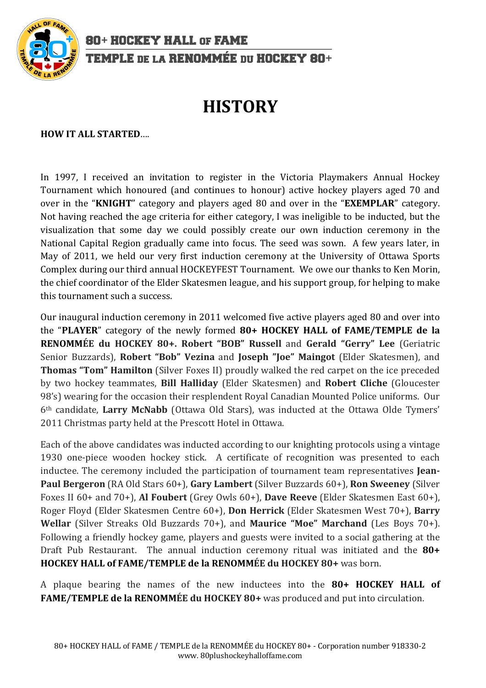

80+ HOCKEY HALL OF FAME TEMPLE DE LA RENOMMÉE DU HOCKEY 80+

## **HISTORY**

**HOW IT ALL STARTED....** 

In 1997, I received an invitation to register in the Victoria Playmakers Annual Hockey Tournament which honoured (and continues to honour) active hockey players aged 70 and over in the "**KNIGHT**" category and players aged 80 and over in the "**EXEMPLAR**" category. Not having reached the age criteria for either category, I was ineligible to be inducted, but the visualization that some day we could possibly create our own induction ceremony in the National Capital Region gradually came into focus. The seed was sown. A few years later, in May of 2011, we held our very first induction ceremony at the University of Ottawa Sports Complex during our third annual HOCKEYFEST Tournament. We owe our thanks to Ken Morin, the chief coordinator of the Elder Skatesmen league, and his support group, for helping to make this tournament such a success.

Our inaugural induction ceremony in 2011 welcomed five active players aged 80 and over into the "PLAYER" category of the newly formed **80+ HOCKEY HALL of FAME/TEMPLE de la RENOMMÉE du HOCKEY 80+. Robert "BOB" Russell and Gerald "Gerry" Lee** (Geriatric Senior Buzzards), **Robert "Bob" Vezina** and **Joseph "Joe" Maingot** (Elder Skatesmen), and **Thomas "Tom" Hamilton** (Silver Foxes II) proudly walked the red carpet on the ice preceded by two hockey teammates, **Bill Halliday** (Elder Skatesmen) and **Robert Cliche** (Gloucester 98's) wearing for the occasion their resplendent Royal Canadian Mounted Police uniforms. Our 6<sup>th</sup> candidate, Larry McNabb (Ottawa Old Stars), was inducted at the Ottawa Olde Tymers' 2011 Christmas party held at the Prescott Hotel in Ottawa.

Each of the above candidates was inducted according to our knighting protocols using a vintage 1930 one-piece wooden hockey stick. A certificate of recognition was presented to each inductee. The ceremony included the participation of tournament team representatives **Jean-Paul Bergeron** (RA Old Stars 60+), Gary Lambert (Silver Buzzards 60+), **Ron Sweeney** (Silver Foxes II 60+ and 70+), Al Foubert (Grey Owls 60+), Dave Reeve (Elder Skatesmen East 60+), Roger Floyd (Elder Skatesmen Centre 60+), **Don Herrick** (Elder Skatesmen West 70+), **Barry** Wellar (Silver Streaks Old Buzzards 70+), and Maurice "Moe" Marchand (Les Boys 70+). Following a friendly hockey game, players and guests were invited to a social gathering at the Draft Pub Restaurant. The annual induction ceremony ritual was initiated and the **80+** HOCKEY HALL of FAME/TEMPLE de la RENOMMÉE du HOCKEY 80+ was born.

A plaque bearing the names of the new inductees into the **80+ HOCKEY HALL of FAME/TEMPLE de la RENOMMÉE du HOCKEY 80+** was produced and put into circulation.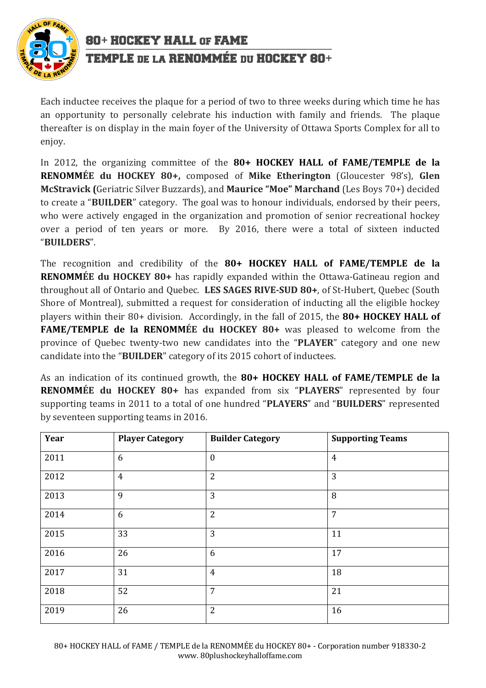

80+ HOCKEY HALL OF FAME TEMPLE DE LA RENOMMÉE DU HOCKEY 80+

Each inductee receives the plaque for a period of two to three weeks during which time he has an opportunity to personally celebrate his induction with family and friends. The plaque thereafter is on display in the main foyer of the University of Ottawa Sports Complex for all to enjoy.

In 2012, the organizing committee of the **80+ HOCKEY HALL of FAME/TEMPLE de la RENOMMÉE** du HOCKEY 80+, composed of Mike Etherington (Gloucester 98's), Glen **McStravick (Geriatric Silver Buzzards), and Maurice "Moe" Marchand** (Les Boys 70+) decided to create a "**BUILDER**" category. The goal was to honour individuals, endorsed by their peers, who were actively engaged in the organization and promotion of senior recreational hockey over a period of ten years or more. By 2016, there were a total of sixteen inducted "**BUILDERS**".

The recognition and credibility of the **80+ HOCKEY HALL of FAME/TEMPLE de la RENOMMÉE du HOCKEY 80+** has rapidly expanded within the Ottawa-Gatineau region and throughout all of Ontario and Quebec. LES SAGES RIVE-SUD 80+, of St-Hubert, Quebec (South Shore of Montreal), submitted a request for consideration of inducting all the eligible hockey players within their 80+ division. Accordingly, in the fall of 2015, the 80+ HOCKEY HALL of **FAME/TEMPLE de la RENOMMÉE du HOCKEY 80+** was pleased to welcome from the province of Quebec twenty-two new candidates into the "PLAYER" category and one new candidate into the "BUILDER" category of its 2015 cohort of inductees.

As an indication of its continued growth, the **80+ HOCKEY HALL of FAME/TEMPLE de la RENOMMÉE du HOCKEY 80+** has expanded from six "PLAYERS" represented by four supporting teams in 2011 to a total of one hundred "PLAYERS" and "BUILDERS" represented by seventeen supporting teams in 2016.

| Year | <b>Player Category</b> | <b>Builder Category</b> | <b>Supporting Teams</b> |
|------|------------------------|-------------------------|-------------------------|
| 2011 | 6                      | $\boldsymbol{0}$        | $\overline{4}$          |
| 2012 | $\overline{4}$         | $\overline{2}$          | 3                       |
| 2013 | 9                      | 3                       | 8                       |
| 2014 | 6                      | $\overline{2}$          | $\overline{7}$          |
| 2015 | 33                     | 3                       | 11                      |
| 2016 | 26                     | 6                       | 17                      |
| 2017 | 31                     | $\overline{4}$          | 18                      |
| 2018 | 52                     | $\overline{7}$          | 21                      |
| 2019 | 26                     | $\overline{2}$          | 16                      |